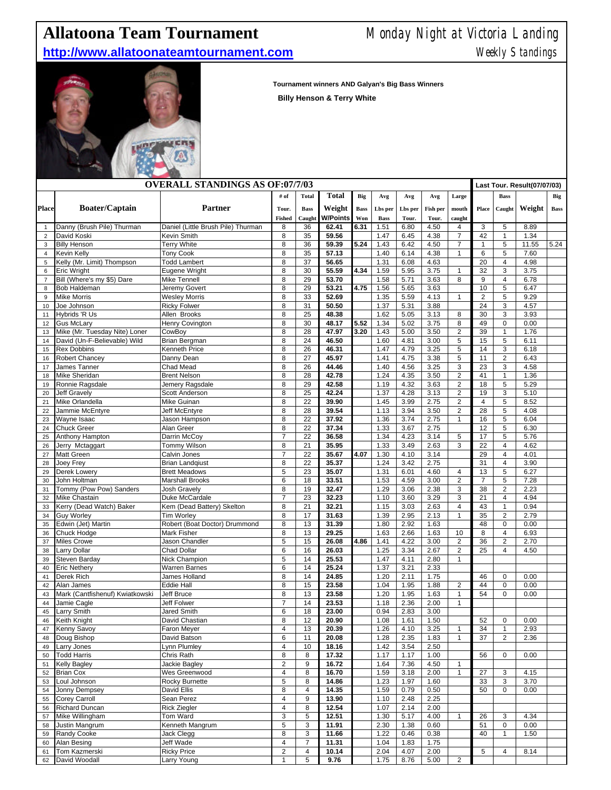## **Allatoona Team Tournament** Monday Night at Victoria Landing

## **http://www.allatoonateamtournament.com** Meekly Standings



**Tournament winners AND Galyan's Big Bass Winners** 

**Billy Henson & Terry White**

| <b>OVERALL STANDINGS AS OF:07/7/03</b> |                                 |                                    |                         |                |                 |             |             |         |          |                                   | Last Tour. Result(07/07/03) |                         |        |               |
|----------------------------------------|---------------------------------|------------------------------------|-------------------------|----------------|-----------------|-------------|-------------|---------|----------|-----------------------------------|-----------------------------|-------------------------|--------|---------------|
|                                        |                                 |                                    | # of                    | <b>Total</b>   | <b>Total</b>    | Big         | Avg         | Avg     | Avg      | Large                             |                             | <b>Bass</b>             |        | Big           |
|                                        | <b>Boater/Captain</b>           | Partner                            |                         |                | Weight          |             |             |         |          |                                   |                             |                         |        |               |
| <b>Place</b>                           |                                 |                                    | Tour.                   | <b>Bass</b>    |                 | <b>Bass</b> | Lbs per     | Lbs per | Fish per | $\mathop{\rm \bf mouth}\nolimits$ | Place                       | Caught                  | Weight | $_{\rm Bass}$ |
|                                        |                                 |                                    | <b>Fished</b>           | Caught         | <b>W/Points</b> | Won         | <b>Bass</b> | Tour.   | Tour.    | caught                            |                             |                         |        |               |
| 1                                      | Danny (Brush Pile) Thurman      | Daniel (Little Brush Pile) Thurman | 8                       | 36             | 62.41           | 6.31        | 1.51        | 6.80    | 4.50     | 4                                 | 3                           | 5                       | 8.89   |               |
| $\overline{2}$                         | David Koski                     | Kevin Smith                        | 8                       | 35             | 59.56           |             | 1.47        | 6.45    | 4.38     | $\overline{7}$                    | 42                          | $\mathbf{1}$            | 1.34   |               |
| 3                                      | <b>Billy Henson</b>             | <b>Terry White</b>                 | 8                       | 36             | 59.39           | 5.24        | 1.43        | 6.42    | 4.50     | $\overline{7}$                    | $\mathbf{1}$                | $\sqrt{5}$              | 11.55  | 5.24          |
| $\overline{4}$                         | Kevin Kelly                     | <b>Tony Cook</b>                   | 8                       | 35             | 57.13           |             | 1.40        | 6.14    | 4.38     | $\mathbf{1}$                      | 6                           | 5                       | 7.60   |               |
| 5                                      | Kelly (Mr. Limit) Thompson      | <b>Todd Lambert</b>                | 8                       | 37             | 56.65           |             | 1.31        | 6.08    | 4.63     |                                   | 20                          | $\overline{\mathbf{4}}$ | 4.98   |               |
| 6                                      | Eric Wright                     | Eugene Wright                      | 8                       | 30             | 55.59           | 4.34        | 1.59        | 5.95    | 3.75     | $\mathbf{1}$                      | 32                          | 3                       | 3.75   |               |
| $\overline{7}$                         | Bill (Where's my \$5) Dare      | Mike Tennell                       | 8                       | 29             | 53.70           |             | 1.58        | 5.71    | 3.63     | 8                                 | 9                           | $\overline{4}$          | 6.78   |               |
| 8                                      | Bob Haldeman                    | Jeremy Govert                      | 8                       | 29             | 53.21           | 4.75        | 1.56        | 5.65    | 3.63     |                                   | 10                          | 5                       | 6.47   |               |
| 9                                      | <b>Mike Morris</b>              | <b>Wesley Morris</b>               | 8                       | 33             | 52.69           |             | 1.35        | 5.59    | 4.13     | $\mathbf{1}$                      | $\overline{2}$              | $\overline{5}$          | 9.29   |               |
| 10                                     | Joe Johnson                     | <b>Ricky Folwer</b>                | 8                       | 31             | 50.50           |             | 1.37        | 5.31    | 3.88     |                                   | 24                          | 3                       | 4.57   |               |
| 11                                     | Hybrids 'R Us                   | Allen Brooks                       | 8                       | 25             | 48.38           |             | 1.62        | 5.05    | 3.13     | 8                                 | 30                          | 3                       | 3.93   |               |
| 12                                     | <b>Gus McLary</b>               | Henry Covington                    | 8                       | 30             | 48.17           | 5.52        | 1.34        | 5.02    | 3.75     | 8                                 | 49                          | $\pmb{0}$               | 0.00   |               |
| 13                                     | Mike (Mr. Tuesday Nite) Loner   | CowBoy                             | 8                       | 28             | 47.97           | 3.20        | 1.43        | 5.00    | 3.50     | $\mathbf 2$                       | 39                          | $\mathbf{1}$            | 1.76   |               |
| 14                                     | David (Un-F-Believable) Wild    | Brian Bergman                      | 8                       | 24             | 46.50           |             | 1.60        | 4.81    | 3.00     | 5                                 | 15                          | 5                       | 6.11   |               |
| 15                                     | <b>Rex Dobbins</b>              | Kenneth Price                      | 8                       | 26             | 46.31           |             | 1.47        | 4.79    | 3.25     | 5                                 | 14                          | 3                       | 6.18   |               |
| 16                                     | Robert Chancey                  | Danny Dean                         | 8                       | 27             | 45.97           |             | 1.41        | 4.75    | 3.38     | 5                                 | 11                          | $\overline{2}$          | 6.43   |               |
| 17                                     | James Tanner                    | Chad Mead                          | 8                       | 26             | 44.46           |             | 1.40        | 4.56    | 3.25     | 3                                 | 23                          | 3                       | 4.58   |               |
| 18                                     | Mike Sheridan                   | <b>Brent Nelson</b>                | 8                       | 28             | 42.78           |             | 1.24        | 4.35    | 3.50     | $\overline{c}$                    | 41                          | 1                       | 1.36   |               |
| 19                                     | Ronnie Ragsdale                 | Jemery Ragsdale                    | 8                       | 29             | 42.58           |             | 1.19        | 4.32    | 3.63     | $\overline{2}$                    | 18                          | 5                       | 5.29   |               |
| 20                                     | <b>Jeff Gravely</b>             | <b>Scott Anderson</b>              | 8                       | 25             | 42.24           |             | 1.37        | 4.28    | 3.13     | $\overline{2}$                    | 19                          | 3                       | 5.10   |               |
| 21                                     | Mike Orlandella                 | Mike Guinan                        | 8                       | 22             | 39.90           |             | 1.45        | 3.99    | 2.75     | $\overline{\mathbf{c}}$           | $\overline{4}$              | 5                       | 8.52   |               |
| 22                                     | Jammie McEntyre                 | Jeff McEntyre                      | 8                       | 28             | 39.54           |             | 1.13        | 3.94    | 3.50     | $\overline{2}$                    | 28                          | 5                       | 4.08   |               |
| 23                                     | Wayne Isaac                     | Jason Hampson                      | 8                       | 22             | 37.92           |             | 1.36        | 3.74    | 2.75     | $\mathbf{1}$                      | 16                          | 5                       | 6.04   |               |
| 24                                     | <b>Chuck Greer</b>              | Alan Greer                         | 8                       | 22             | 37.34           |             | 1.33        | 3.67    | 2.75     |                                   | 12                          | 5                       | 6.30   |               |
| 25                                     | Anthony Hampton                 | Darrin McCoy                       | $\overline{7}$          | 22             | 36.58           |             | 1.34        | 4.23    | 3.14     | 5                                 | 17                          | 5                       | 5.76   |               |
| 26                                     | Jerry Mctaggart                 | Tommy Wilson                       | 8                       | 21             | 35.95           |             | 1.33        | 3.49    | 2.63     | 3                                 | 22                          | $\overline{\mathbf{4}}$ | 4.62   |               |
| 27                                     | Matt Green                      | Calvin Jones                       | $\overline{7}$          | 22             | 35.67           | 4.07        | 1.30        | 4.10    | 3.14     |                                   | 29                          | $\overline{4}$          | 4.01   |               |
| 28                                     | Joey Frey                       | <b>Brian Landqiust</b>             | 8                       | 22             | 35.37           |             | 1.24        | 3.42    | 2.75     |                                   | 31                          | $\overline{\mathbf{4}}$ | 3.90   |               |
| 29                                     | Derek Lowery                    | <b>Brett Meadows</b>               | 5                       | 23             | 35.07           |             | 1.31        | 6.01    | 4.60     | 4                                 | 13                          | 5                       | 6.27   |               |
| 30                                     | John Holtman                    | <b>Marshall Brooks</b>             | 6                       | 18             | 33.51           |             | 1.53        | 4.59    | 3.00     | $\mathbf 2$                       | $\overline{7}$              | 5                       | 7.28   |               |
| 31                                     | Tommy (Pow Pow) Sanders         | Josh Gravely                       | 8                       | 19             | 32.47           |             | 1.29        | 3.06    | 2.38     | 3                                 | 38                          | $\mathbf 2$             | 2.23   |               |
| 32                                     | <b>Mike Chastain</b>            | Duke McCardale                     | $\overline{7}$          | 23             | 32.23           |             | 1.10        | 3.60    | 3.29     | 3                                 | 21                          | $\overline{4}$          | 4.94   |               |
| 33                                     | Kerry (Dead Watch) Baker        | Kem (Dead Battery) Skelton         | 8                       | 21             | 32.21           |             | 1.15        | 3.03    | 2.63     | $\overline{4}$                    | 43                          | $\mathbf{1}$            | 0.94   |               |
| 34                                     | <b>Guy Worley</b>               | <b>Tim Worley</b>                  | 8                       | 17             | 31.63           |             | 1.39        | 2.95    | 2.13     | $\mathbf{1}$                      | 35                          | $\overline{2}$          | 2.79   |               |
| 35                                     | Edwin (Jet) Martin              | Robert (Boat Doctor) Drummond      | 8                       | 13             | 31.39           |             | 1.80        | 2.92    | 1.63     |                                   | 48                          | $\pmb{0}$               | 0.00   |               |
| 36                                     | Chuck Hodge                     | <b>Mark Fisher</b>                 | 8                       | 13             | 29.25           |             | 1.63        | 2.66    | 1.63     | 10                                | 8                           | $\overline{4}$          | 6.93   |               |
| 37                                     | Miles Crowe                     | Jason Chandler                     | 5                       | 15             | 26.08           | 4.86        | 1.41        | 4.22    | 3.00     | $\mathbf{2}$                      | 36                          | $\overline{2}$          | 2.70   |               |
| 38                                     | Larry Dollar                    | Chad Dollar                        | 6                       | 16             | 26.03           |             | 1.25        | 3.34    | 2.67     | $\overline{\mathbf{c}}$           | 25                          | $\overline{4}$          | 4.50   |               |
| 39                                     | Steven Barday                   | Nick Champion                      | 5                       | 14             | 25.53           |             | 1.47        | 4.11    | 2.80     | $\mathbf{1}$                      |                             |                         |        |               |
| 40                                     | <b>Eric Nethery</b>             | <b>Warren Barnes</b>               | 6                       | 14             | 25.24           |             | 1.37        | 3.21    | 2.33     |                                   |                             |                         |        |               |
| 41                                     | Derek Rich                      | James Holland                      | 8                       | 14             | 24.85           |             | 1.20        | 2.11    | 1.75     |                                   | 46                          | 0                       | 0.00   |               |
| 42                                     | Alan James                      | <b>Eddie Hall</b>                  | 8                       | 15             | 23.58           |             | 1.04        | 1.95    | 1.88     | $\overline{\mathbf{c}}$           | 44                          | $\pmb{0}$               | 0.00   |               |
| 43                                     | Mark (Cantfishenuf) Kwiatkowski | Jeff Bruce                         | 8                       | 13             | 23.58           |             | 1.20        | 1.95    | 1.63     | $\mathbf{1}$                      | 54                          | 0                       | 0.00   |               |
| 44                                     | Jamie Cagle                     | Jeff Folwer                        | $\overline{7}$          | 14             | 23.53           |             | 1.18        | 2.36    | 2.00     | $\mathbf{1}$                      |                             |                         |        |               |
| 45                                     | Larry Smith                     | <b>Jared Smith</b>                 | 6                       | 18             | 23.00           |             | 0.94        | 2.83    | 3.00     |                                   |                             |                         |        |               |
| 46                                     | Keith Knight                    | David Chastian                     | 8                       | 12             | 20.90           |             | 1.08        | $1.61$  | 1.50     |                                   | 52                          | $\pmb{0}$               | 0.00   |               |
| 47                                     | <b>Kenny Savoy</b>              | Faron Meyer                        | $\overline{\mathbf{4}}$ | 13             | 20.39           |             | 1.26        | 4.10    | 3.25     | 1                                 | 34                          | $\mathbf{1}$            | 2.93   |               |
| 48                                     | Doug Bishop                     | David Batson                       | 6                       | 11             | 20.08           |             | 1.28        | 2.35    | 1.83     | $\mathbf{1}$                      | 37                          | $\overline{2}$          | 2.36   |               |
| 49                                     | Larry Jones                     | Lynn Plumley                       | 4                       | 10             | 18.16           |             | 1.42        | 3.54    | 2.50     |                                   |                             |                         |        |               |
| 50                                     | <b>Todd Harris</b>              | Chris Rath                         | 8                       | 8              | 17.32           |             | 1.17        | 1.17    | 1.00     |                                   | 56                          | 0                       | 0.00   |               |
| 51                                     | <b>Kelly Bagley</b>             | Jackie Bagley                      | $\mathbf 2$             | 9              | 16.72           |             | 1.64        | 7.36    | 4.50     | $\mathbf{1}$                      |                             |                         |        |               |
| 52                                     | <b>Brian Cox</b>                | Wes Greenwood                      | 4                       | 8              | 16.70           |             | 1.59        | 3.18    | 2.00     | $\mathbf{1}$                      | 27                          | 3                       | 4.15   |               |
| 53                                     | Loul Johnson                    | Rocky Burnette                     | 5                       | 8              | 14.86           |             | 1.23        | 1.97    | 1.60     |                                   | 33                          | 3                       | 3.70   |               |
| 54                                     | Jonny Dempsey                   | David Ellis                        | 8                       | 4              | 14.35           |             | 1.59        | 0.79    | 0.50     |                                   | 50                          | 0                       | 0.00   |               |
| 55                                     | Corey Carroll                   | Sean Perez                         | 4                       | 9              | 13.90           |             | 1.10        | 2.48    | 2.25     |                                   |                             |                         |        |               |
| 56                                     | <b>Richard Duncan</b>           | <b>Rick Ziegler</b>                | 4                       | 8              | 12.54           |             | 1.07        | 2.14    | 2.00     |                                   |                             |                         |        |               |
| 57                                     | Mike Willingham                 | Tom Ward                           | 3                       | 5              | 12.51           |             | 1.30        | 5.17    | 4.00     | 1                                 | 26                          | 3                       | 4.34   |               |
| 58                                     | Justin Mangrum                  | Kenneth Mangrum                    | 5                       | 3              | 11.91           |             | 2.30        | 1.38    | 0.60     |                                   | 51                          | $\pmb{0}$               | 0.00   |               |
| 59                                     | <b>Randy Cooke</b>              | Jack Clegg                         | 8                       | 3              | 11.66           |             | 1.22        | 0.46    | 0.38     |                                   | 40                          | $\mathbf{1}$            | 1.50   |               |
| 60                                     | Alan Besing                     | Jeff Wade                          | 4                       | $\overline{7}$ | 11.31           |             | 1.04        | 1.83    | 1.75     |                                   |                             |                         |        |               |
| 61                                     | Tom Kazmerski                   | <b>Ricky Price</b>                 | $\overline{c}$          | 4              | 10.14           |             | 2.04        | 4.07    | 2.00     |                                   | 5                           | $\overline{4}$          | 8.14   |               |
| 62                                     | David Woodall                   | Larry Young                        | 1                       | 5              | 9.76            |             | 1.75        | 8.76    | 5.00     | 2                                 |                             |                         |        |               |
|                                        |                                 |                                    |                         |                |                 |             |             |         |          |                                   |                             |                         |        |               |